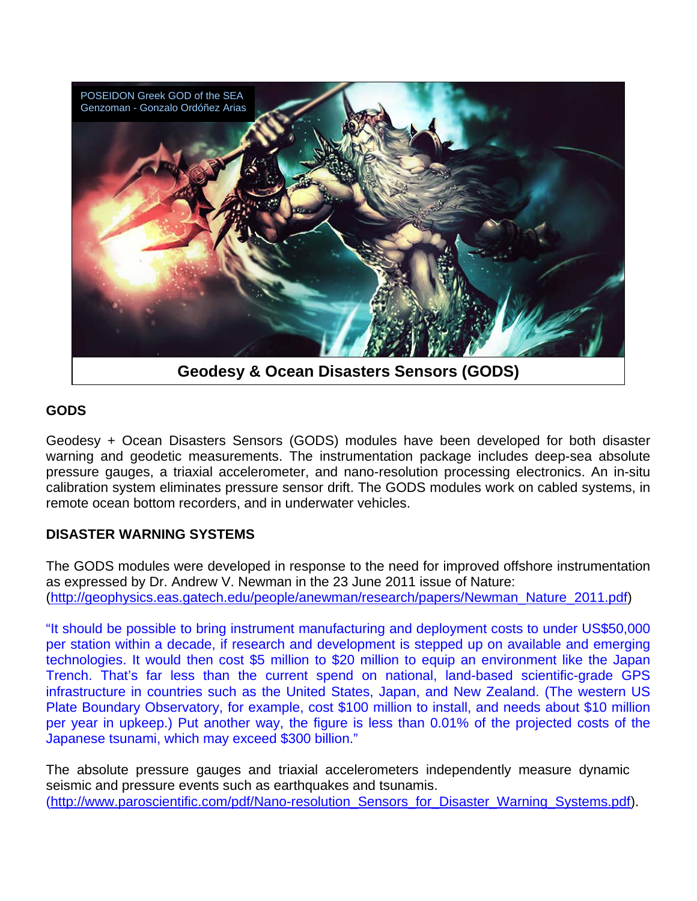

# **GODS**

Geodesy + Ocean Disasters Sensors (GODS) modules have been developed for both disaster warning and geodetic measurements. The instrumentation package includes deep-sea absolute pressure gauges, a triaxial accelerometer, and nano-resolution processing electronics. An in-situ calibration system eliminates pressure sensor drift. The GODS modules work on cabled systems, in remote ocean bottom recorders, and in underwater vehicles.

# **DISASTER WARNING SYSTEMS**

The GODS modules were developed in response to the need for improved offshore instrumentation as expressed by Dr. Andrew V. Newman in the 23 June 2011 issue of Nature: ([http://geophysics.eas.gatech.edu/people/anewman/research/papers/Newman\\_Nature\\_2011.pdf](http://geophysics.eas.gatech.edu/people/anewman/research/papers/Newman_Nature_2011.pdf))

"It should be possible to bring instrument manufacturing and deployment costs to under US\$50,000 per station within a decade, if research and development is stepped up on available and emerging technologies. It would then cost \$5 million to \$20 million to equip an environment like the Japan Trench. That's far less than the current spend on national, land-based scientific-grade GPS infrastructure in countries such as the United States, Japan, and New Zealand. (The western US Plate Boundary Observatory, for example, cost \$100 million to install, and needs about \$10 million per year in upkeep.) Put another way, the figure is less than 0.01% of the projected costs of the Japanese tsunami, which may exceed \$300 billion."

The absolute pressure gauges and triaxial accelerometers independently measure dynamic seismic and pressure events such as earthquakes and tsunamis. (http://www.paroscientific.com/pdf/Nano-resolution Sensors for Disaster Warning Systems.pdf).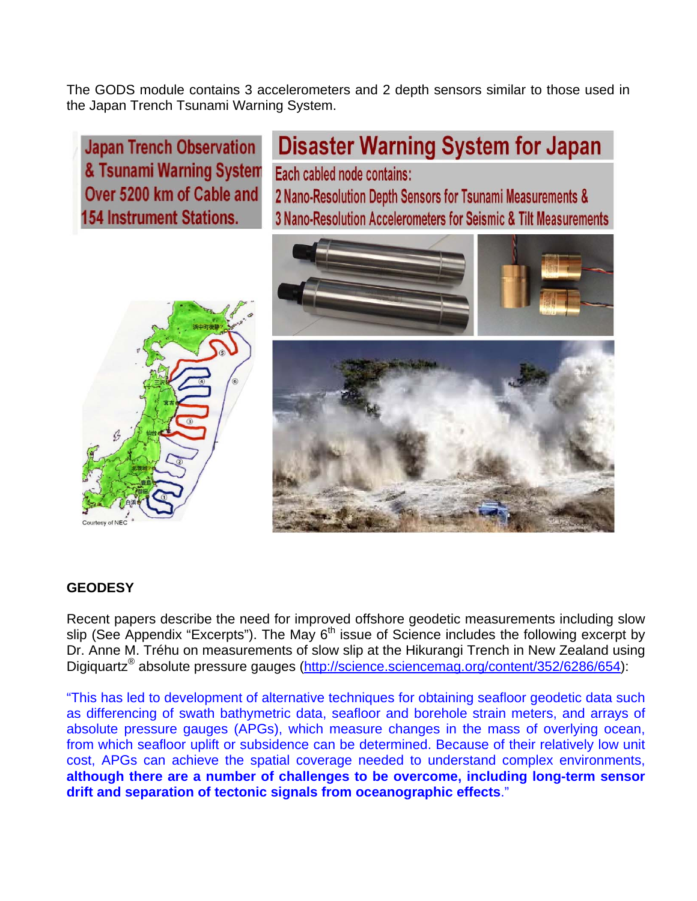The GODS module contains 3 accelerometers and 2 depth sensors similar to those used in the Japan Trench Tsunami Warning System.

**Japan Trench Observation** & Tsunami Warning System Over 5200 km of Cable and **154 Instrument Stations.** 

**Disaster Warning System for Japan** Each cabled node contains: 2 Nano-Resolution Depth Sensors for Tsunami Measurements & 3 Nano-Resolution Accelerometers for Seismic & Tilt Measurements





### **GEODESY**

Recent papers describe the need for improved offshore geodetic measurements including slow slip (See Appendix "Excerpts"). The May  $6<sup>th</sup>$  issue of Science includes the following excerpt by Dr. Anne M. Tréhu on measurements of slow slip at the Hikurangi Trench in New Zealand using Digiquartz<sup>®</sup> absolute pressure gauges [\(http://science.sciencemag.org/content/352/6286/654](http://science.sciencemag.org/content/352/6286/654)):

"This has led to development of alternative techniques for obtaining seafloor geodetic data such as differencing of swath bathymetric data, seafloor and borehole strain meters, and arrays of absolute pressure gauges (APGs), which measure changes in the mass of overlying ocean, from which seafloor uplift or subsidence can be determined. Because of their relatively low unit cost, APGs can achieve the spatial coverage needed to understand complex environments, **although there are a number of challenges to be overcome, including long-term sensor drift and separation of tectonic signals from oceanographic effects**."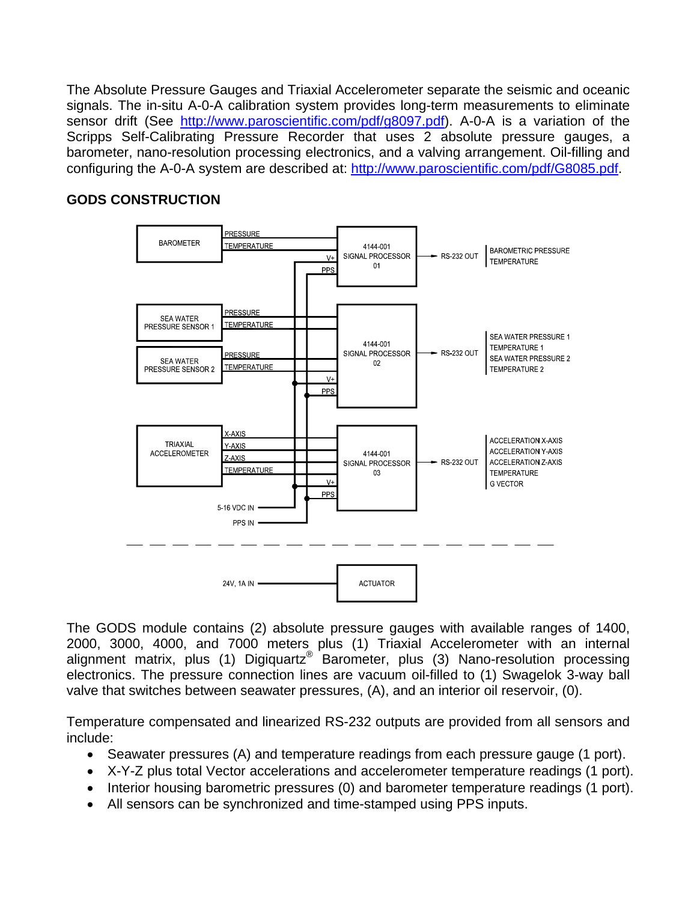The Absolute Pressure Gauges and Triaxial Accelerometer separate the seismic and oceanic signals. The in-situ A-0-A calibration system provides long-term measurements to eliminate sensor drift (See [http://www.paroscientific.com/pdf/g8097.pdf\)](http://www.paroscientific.com/pdf/g8097.pdf). A-0-A is a variation of the Scripps Self-Calibrating Pressure Recorder that uses 2 absolute pressure gauges, a barometer, nano-resolution processing electronics, and a valving arrangement. Oil-filling and configuring the A-0-A system are described at: <http://www.paroscientific.com/pdf/G8085.pdf>.

# **GODS CONSTRUCTION**



The GODS module contains (2) absolute pressure gauges with available ranges of 1400, 2000, 3000, 4000, and 7000 meters plus (1) Triaxial Accelerometer with an internal alignment matrix, plus (1) Digiquartz<sup>®</sup> Barometer, plus (3) Nano-resolution processing electronics. The pressure connection lines are vacuum oil-filled to (1) Swagelok 3-way ball valve that switches between seawater pressures, (A), and an interior oil reservoir, (0).

Temperature compensated and linearized RS-232 outputs are provided from all sensors and include:

- Seawater pressures (A) and temperature readings from each pressure gauge (1 port).
- X-Y-Z plus total Vector accelerations and accelerometer temperature readings (1 port).
- Interior housing barometric pressures (0) and barometer temperature readings (1 port).
- All sensors can be synchronized and time-stamped using PPS inputs.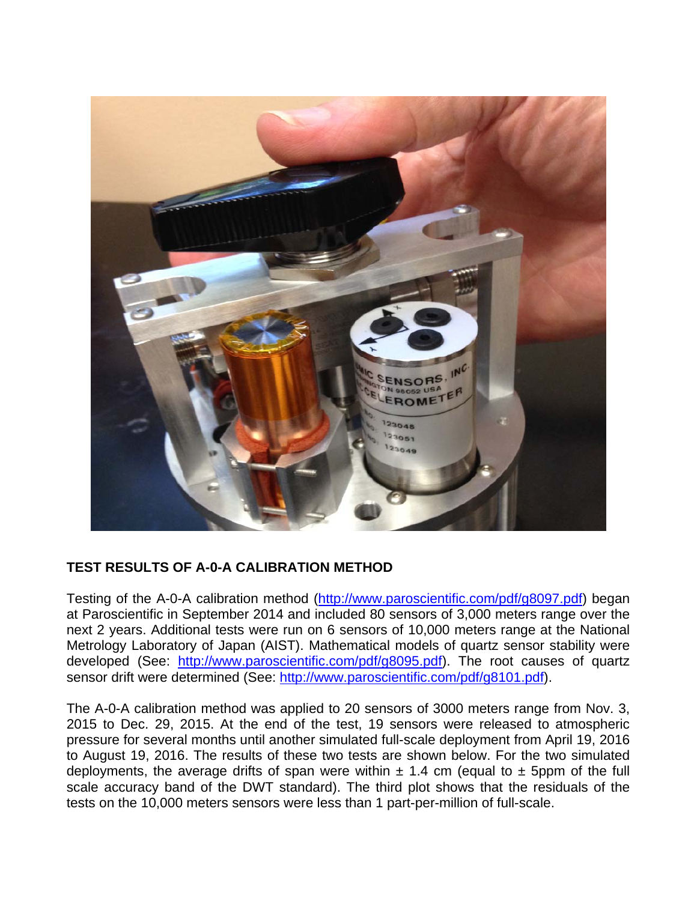

# **TEST RESULTS OF A-0-A CALIBRATION METHOD**

Testing of the A-0-A calibration method ([http://www.paroscientific.com/pdf/g8097.pdf\)](http://www.paroscientific.com/pdf/g8097.pdf) began at Paroscientific in September 2014 and included 80 sensors of 3,000 meters range over the next 2 years. Additional tests were run on 6 sensors of 10,000 meters range at the National Metrology Laboratory of Japan (AIST). Mathematical models of quartz sensor stability were developed (See: <http://www.paroscientific.com/pdf/g8095.pdf>). The root causes of quartz sensor drift were determined (See: [http://www.paroscientific.com/pdf/g8101.pdf\)](http://www.paroscientific.com/pdf/g8101.pdf).

The A-0-A calibration method was applied to 20 sensors of 3000 meters range from Nov. 3, 2015 to Dec. 29, 2015. At the end of the test, 19 sensors were released to atmospheric pressure for several months until another simulated full-scale deployment from April 19, 2016 to August 19, 2016. The results of these two tests are shown below. For the two simulated deployments, the average drifts of span were within  $\pm$  1.4 cm (equal to  $\pm$  5ppm of the full scale accuracy band of the DWT standard). The third plot shows that the residuals of the tests on the 10,000 meters sensors were less than 1 part-per-million of full-scale.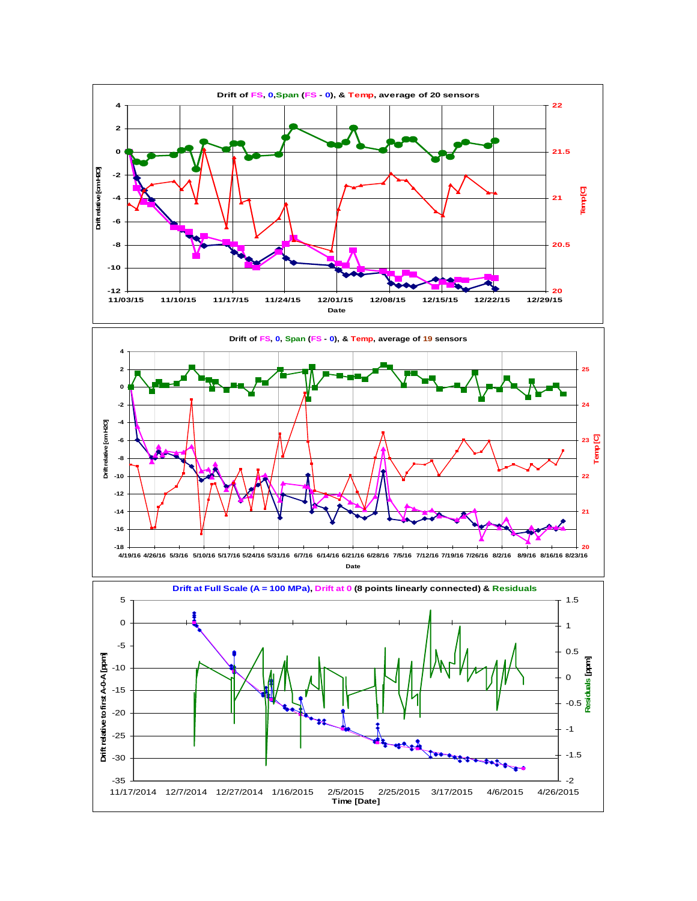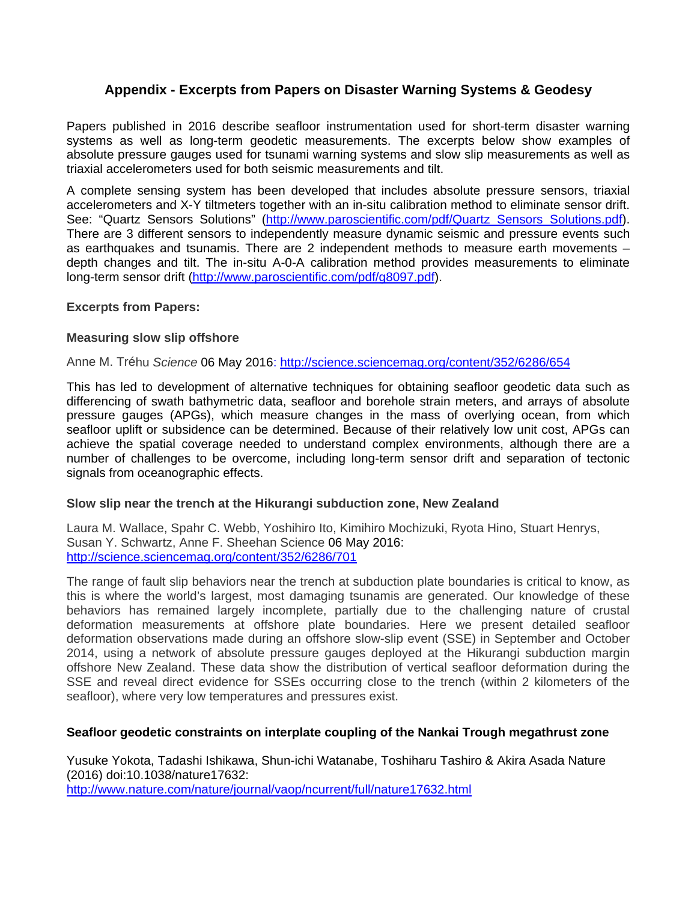### **Appendix - Excerpts from Papers on Disaster Warning Systems & Geodesy**

Papers published in 2016 describe seafloor instrumentation used for short-term disaster warning systems as well as long-term geodetic measurements. The excerpts below show examples of absolute pressure gauges used for tsunami warning systems and slow slip measurements as well as triaxial accelerometers used for both seismic measurements and tilt.

A complete sensing system has been developed that includes absolute pressure sensors, triaxial accelerometers and X-Y tiltmeters together with an in-situ calibration method to eliminate sensor drift. See: "Quartz Sensors Solutions" (http://www.paroscientific.com/pdf/Quartz Sensors Solutions.pdf). There are 3 different sensors to independently measure dynamic seismic and pressure events such as earthquakes and tsunamis. There are 2 independent methods to measure earth movements – depth changes and tilt. The in-situ A-0-A calibration method provides measurements to eliminate long-term sensor drift [\(http://www.paroscientific.com/pdf/g8097.pdf\)](http://www.paroscientific.com/pdf/g8097.pdf).

### **Excerpts from Papers:**

### **Measuring slow slip offshore**

Anne M. Tréhu *Science* 06 May 2016:<http://science.sciencemag.org/content/352/6286/654>

This has led to development of alternative techniques for obtaining seafloor geodetic data such as differencing of swath bathymetric data, seafloor and borehole strain meters, and arrays of absolute pressure gauges (APGs), which measure changes in the mass of overlying ocean, from which seafloor uplift or subsidence can be determined. Because of their relatively low unit cost, APGs can achieve the spatial coverage needed to understand complex environments, although there are a number of challenges to be overcome, including long-term sensor drift and separation of tectonic signals from oceanographic effects.

#### **Slow slip near the trench at the Hikurangi subduction zone, New Zealand**

Laura M. Wallace, Spahr C. Webb, Yoshihiro Ito, Kimihiro Mochizuki, Ryota Hino, Stuart Henrys, Susan Y. Schwartz, Anne F. Sheehan Science 06 May 2016: <http://science.sciencemag.org/content/352/6286/701>

The range of fault slip behaviors near the trench at subduction plate boundaries is critical to know, as this is where the world's largest, most damaging tsunamis are generated. Our knowledge of these behaviors has remained largely incomplete, partially due to the challenging nature of crustal deformation measurements at offshore plate boundaries. Here we present detailed seafloor deformation observations made during an offshore slow-slip event (SSE) in September and October 2014, using a network of absolute pressure gauges deployed at the Hikurangi subduction margin offshore New Zealand. These data show the distribution of vertical seafloor deformation during the SSE and reveal direct evidence for SSEs occurring close to the trench (within 2 kilometers of the seafloor), where very low temperatures and pressures exist.

### **Seafloor geodetic constraints on interplate coupling of the Nankai Trough megathrust zone**

Yusuke Yokota, Tadashi Ishikawa, Shun-ichi Watanabe, Toshiharu Tashiro & Akira Asada Nature (2016) doi:10.1038/nature17632: <http://www.nature.com/nature/journal/vaop/ncurrent/full/nature17632.html>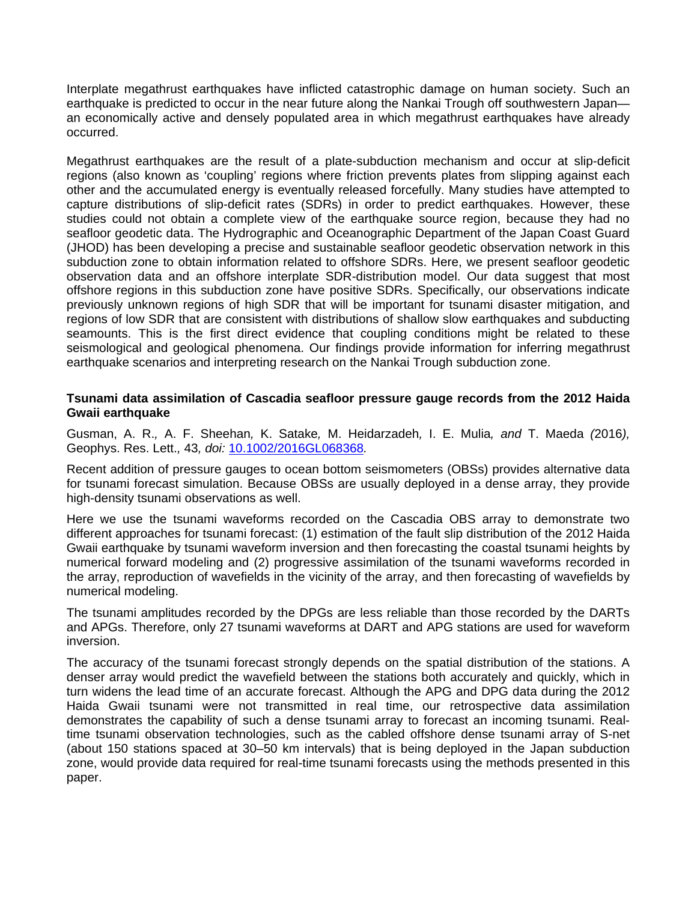Interplate megathrust earthquakes have inflicted catastrophic damage on human society. Such an earthquake is predicted to occur in the near future along the Nankai Trough off southwestern Japanan economically active and densely populated area in which megathrust earthquakes have already occurred.

Megathrust earthquakes are the result of a plate-subduction mechanism and occur at slip-deficit regions (also known as 'coupling' regions where friction prevents plates from slipping against each other and the accumulated energy is eventually released forcefully. Many studies have attempted to capture distributions of slip-deficit rates (SDRs) in order to predict earthquakes. However, these studies could not obtain a complete view of the earthquake source region, because they had no seafloor geodetic data. The Hydrographic and Oceanographic Department of the Japan Coast Guard (JHOD) has been developing a precise and sustainable seafloor geodetic observation network in this subduction zone to obtain information related to offshore SDRs. Here, we present seafloor geodetic observation data and an offshore interplate SDR-distribution model. Our data suggest that most offshore regions in this subduction zone have positive SDRs. Specifically, our observations indicate previously unknown regions of high SDR that will be important for tsunami disaster mitigation, and regions of low SDR that are consistent with distributions of shallow slow earthquakes and subducting seamounts. This is the first direct evidence that coupling conditions might be related to these seismological and geological phenomena. Our findings provide information for inferring megathrust earthquake scenarios and interpreting research on the Nankai Trough subduction zone.

### **Tsunami data assimilation of Cascadia seafloor pressure gauge records from the 2012 Haida Gwaii earthquake**

Gusman, A. R.*,* A. F. Sheehan*,* K. Satake*,* M. Heidarzadeh*,* I. E. Mulia*, and* T. Maeda *(*2016*),*  Geophys. Res. Lett.*,* 43*, doi:* [10.1002/2016GL068368](http://dx.doi.org/10.1002/2016GL068368)*.*

Recent addition of pressure gauges to ocean bottom seismometers (OBSs) provides alternative data for tsunami forecast simulation. Because OBSs are usually deployed in a dense array, they provide high-density tsunami observations as well.

Here we use the tsunami waveforms recorded on the Cascadia OBS array to demonstrate two different approaches for tsunami forecast: (1) estimation of the fault slip distribution of the 2012 Haida Gwaii earthquake by tsunami waveform inversion and then forecasting the coastal tsunami heights by numerical forward modeling and (2) progressive assimilation of the tsunami waveforms recorded in the array, reproduction of wavefields in the vicinity of the array, and then forecasting of wavefields by numerical modeling.

The tsunami amplitudes recorded by the DPGs are less reliable than those recorded by the DARTs and APGs. Therefore, only 27 tsunami waveforms at DART and APG stations are used for waveform inversion.

The accuracy of the tsunami forecast strongly depends on the spatial distribution of the stations. A denser array would predict the wavefield between the stations both accurately and quickly, which in turn widens the lead time of an accurate forecast. Although the APG and DPG data during the 2012 Haida Gwaii tsunami were not transmitted in real time, our retrospective data assimilation demonstrates the capability of such a dense tsunami array to forecast an incoming tsunami. Realtime tsunami observation technologies, such as the cabled offshore dense tsunami array of S-net (about 150 stations spaced at 30–50 km intervals) that is being deployed in the Japan subduction zone, would provide data required for real-time tsunami forecasts using the methods presented in this paper.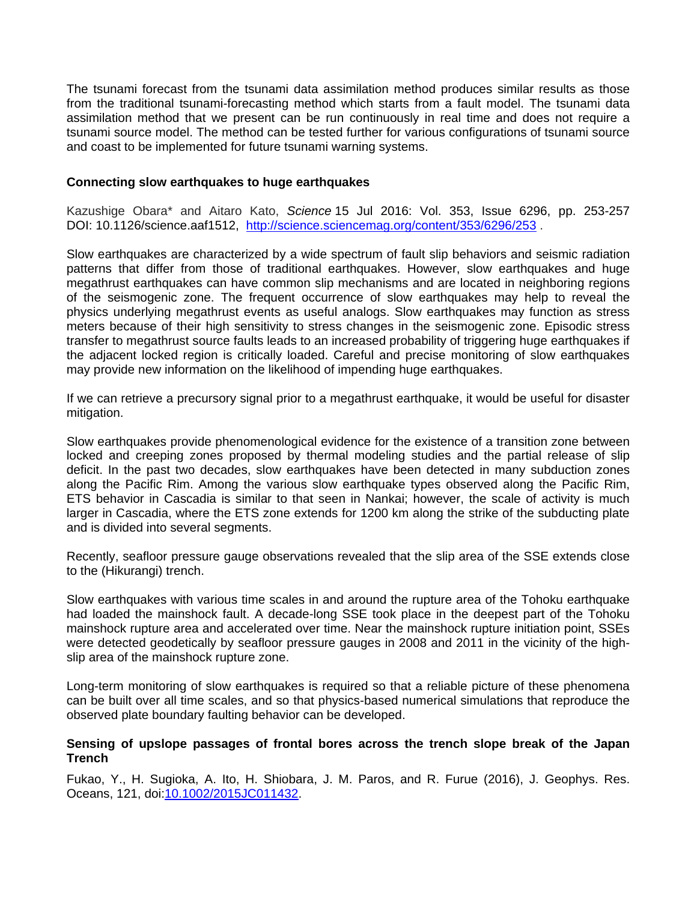The tsunami forecast from the tsunami data assimilation method produces similar results as those from the traditional tsunami-forecasting method which starts from a fault model. The tsunami data assimilation method that we present can be run continuously in real time and does not require a tsunami source model. The method can be tested further for various configurations of tsunami source and coast to be implemented for future tsunami warning systems.

### **Connecting slow earthquakes to huge earthquakes**

Kazushige Obara\* and Aitaro Kato, *Science* 15 Jul 2016: Vol. 353, Issue 6296, pp. 253-257 DOI: 10.1126/science.aaf1512, <http://science.sciencemag.org/content/353/6296/253>.

Slow earthquakes are characterized by a wide spectrum of fault slip behaviors and seismic radiation patterns that differ from those of traditional earthquakes. However, slow earthquakes and huge megathrust earthquakes can have common slip mechanisms and are located in neighboring regions of the seismogenic zone. The frequent occurrence of slow earthquakes may help to reveal the physics underlying megathrust events as useful analogs. Slow earthquakes may function as stress meters because of their high sensitivity to stress changes in the seismogenic zone. Episodic stress transfer to megathrust source faults leads to an increased probability of triggering huge earthquakes if the adjacent locked region is critically loaded. Careful and precise monitoring of slow earthquakes may provide new information on the likelihood of impending huge earthquakes.

If we can retrieve a precursory signal prior to a megathrust earthquake, it would be useful for disaster mitigation.

Slow earthquakes provide phenomenological evidence for the existence of a transition zone between locked and creeping zones proposed by thermal modeling studies and the partial release of slip deficit. In the past two decades, slow earthquakes have been detected in many subduction zones along the Pacific Rim. Among the various slow earthquake types observed along the Pacific Rim, ETS behavior in Cascadia is similar to that seen in Nankai; however, the scale of activity is much larger in Cascadia, where the ETS zone extends for 1200 km along the strike of the subducting plate and is divided into several segments.

Recently, seafloor pressure gauge observations revealed that the slip area of the SSE extends close to the (Hikurangi) trench.

Slow earthquakes with various time scales in and around the rupture area of the Tohoku earthquake had loaded the mainshock fault. A decade-long SSE took place in the deepest part of the Tohoku mainshock rupture area and accelerated over time. Near the mainshock rupture initiation point, SSEs were detected geodetically by seafloor pressure gauges in 2008 and 2011 in the vicinity of the highslip area of the mainshock rupture zone.

Long-term monitoring of slow earthquakes is required so that a reliable picture of these phenomena can be built over all time scales, and so that physics-based numerical simulations that reproduce the observed plate boundary faulting behavior can be developed.

#### **Sensing of upslope passages of frontal bores across the trench slope break of the Japan Trench**

Fukao, Y., H. Sugioka, A. Ito, H. Shiobara, J. M. Paros, and R. Furue (2016), J. Geophys. Res. Oceans, 121, doi:[10.1002/2015JC011432](http://dx.doi.org/10.1002/2015JC011432).